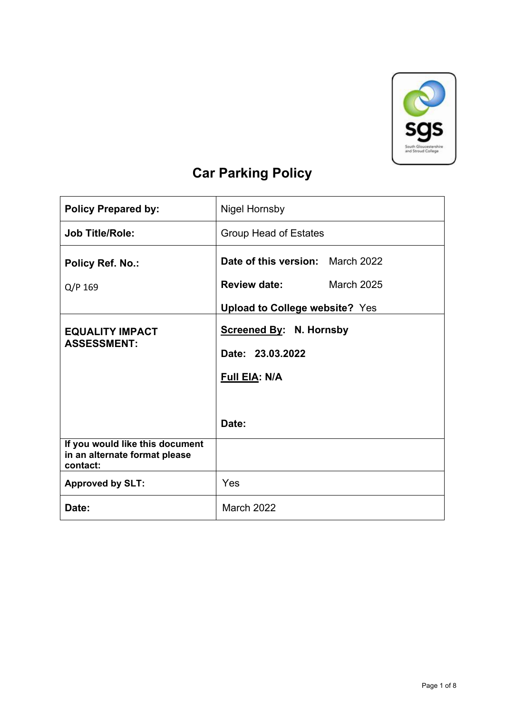

# **Car Parking Policy**

| <b>Policy Prepared by:</b>                                                   | <b>Nigel Hornsby</b>                  |                   |
|------------------------------------------------------------------------------|---------------------------------------|-------------------|
| <b>Job Title/Role:</b>                                                       | <b>Group Head of Estates</b>          |                   |
| Policy Ref. No.:                                                             | Date of this version: March 2022      |                   |
| Q/P 169                                                                      | <b>Review date:</b>                   | <b>March 2025</b> |
|                                                                              | <b>Upload to College website? Yes</b> |                   |
| <b>EQUALITY IMPACT</b>                                                       | <b>Screened By: N. Hornsby</b>        |                   |
| <b>ASSESSMENT:</b>                                                           | Date: 23.03.2022                      |                   |
|                                                                              | Full EIA: N/A                         |                   |
|                                                                              |                                       |                   |
|                                                                              | Date:                                 |                   |
| If you would like this document<br>in an alternate format please<br>contact: |                                       |                   |
| <b>Approved by SLT:</b>                                                      | Yes                                   |                   |
| Date:                                                                        | March 2022                            |                   |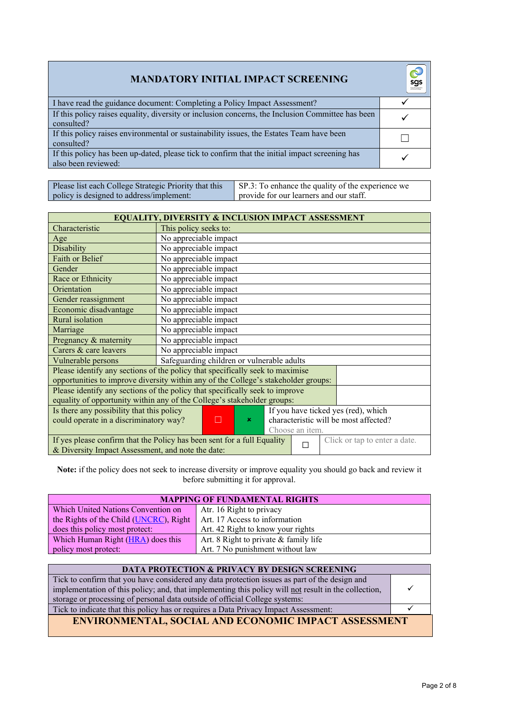| <b>MANDATORY INITIAL IMPACT SCREENING</b>                                                                             | sgs<br>South Glousadan |
|-----------------------------------------------------------------------------------------------------------------------|------------------------|
| I have read the guidance document: Completing a Policy Impact Assessment?                                             |                        |
| If this policy raises equality, diversity or inclusion concerns, the Inclusion Committee has been<br>consulted?       |                        |
| If this policy raises environmental or sustainability issues, the Estates Team have been<br>consulted?                |                        |
| If this policy has been up-dated, please tick to confirm that the initial impact screening has<br>also been reviewed: |                        |

| Please list each College Strategic Priority that this | SP.3: To enhance the quality of the experience we |
|-------------------------------------------------------|---------------------------------------------------|
| policy is designed to address/implement:              | I provide for our learners and our staff.         |

| <b>EQUALITY, DIVERSITY &amp; INCLUSION IMPACT ASSESSMENT</b>                                                                                                       |                                            |  |
|--------------------------------------------------------------------------------------------------------------------------------------------------------------------|--------------------------------------------|--|
| Characteristic                                                                                                                                                     | This policy seeks to:                      |  |
| Age                                                                                                                                                                | No appreciable impact                      |  |
| Disability                                                                                                                                                         | No appreciable impact                      |  |
| <b>Faith or Belief</b>                                                                                                                                             | No appreciable impact                      |  |
| Gender                                                                                                                                                             | No appreciable impact                      |  |
| Race or Ethnicity                                                                                                                                                  | No appreciable impact                      |  |
| Orientation                                                                                                                                                        | No appreciable impact                      |  |
| Gender reassignment                                                                                                                                                | No appreciable impact                      |  |
| Economic disadvantage                                                                                                                                              | No appreciable impact                      |  |
| Rural isolation                                                                                                                                                    | No appreciable impact                      |  |
| Marriage                                                                                                                                                           | No appreciable impact                      |  |
| Pregnancy & maternity                                                                                                                                              | No appreciable impact                      |  |
| Carers & care leavers                                                                                                                                              | No appreciable impact                      |  |
| Vulnerable persons                                                                                                                                                 | Safeguarding children or vulnerable adults |  |
| Please identify any sections of the policy that specifically seek to maximise                                                                                      |                                            |  |
| opportunities to improve diversity within any of the College's stakeholder groups:                                                                                 |                                            |  |
| Please identify any sections of the policy that specifically seek to improve<br>equality of opportunity within any of the College's stakeholder groups:            |                                            |  |
| Is there any possibility that this policy<br>If you have ticked yes (red), which                                                                                   |                                            |  |
| characteristic will be most affected?<br>could operate in a discriminatory way?<br>П<br>$\mathbf x$                                                                |                                            |  |
|                                                                                                                                                                    | Choose an item.                            |  |
| If yes please confirm that the Policy has been sent for a full Equality<br>Click or tap to enter a date.<br>П<br>& Diversity Impact Assessment, and note the date: |                                            |  |
|                                                                                                                                                                    |                                            |  |

**Note:** if the policy does not seek to increase diversity or improve equality you should go back and review it before submitting it for approval.

| <b>MAPPING OF FUNDAMENTAL RIGHTS</b>   |                                         |  |
|----------------------------------------|-----------------------------------------|--|
| Which United Nations Convention on     | Atr. 16 Right to privacy                |  |
| the Rights of the Child (UNCRC), Right | Art. 17 Access to information           |  |
| does this policy most protect:         | Art. 42 Right to know your rights       |  |
| Which Human Right (HRA) does this      | Art. 8 Right to private $&$ family life |  |
| policy most protect:                   | Art. 7 No punishment without law        |  |

| <b>DATA PROTECTION &amp; PRIVACY BY DESIGN SCREENING</b>                                             |  |
|------------------------------------------------------------------------------------------------------|--|
| Tick to confirm that you have considered any data protection issues as part of the design and        |  |
| implementation of this policy; and, that implementing this policy will not result in the collection, |  |
| storage or processing of personal data outside of official College systems:                          |  |
| Tick to indicate that this policy has or requires a Data Privacy Impact Assessment:                  |  |
| <b>ENVIRONMENTAL, SOCIAL AND ECONOMIC IMPACT ASSESSMENT</b>                                          |  |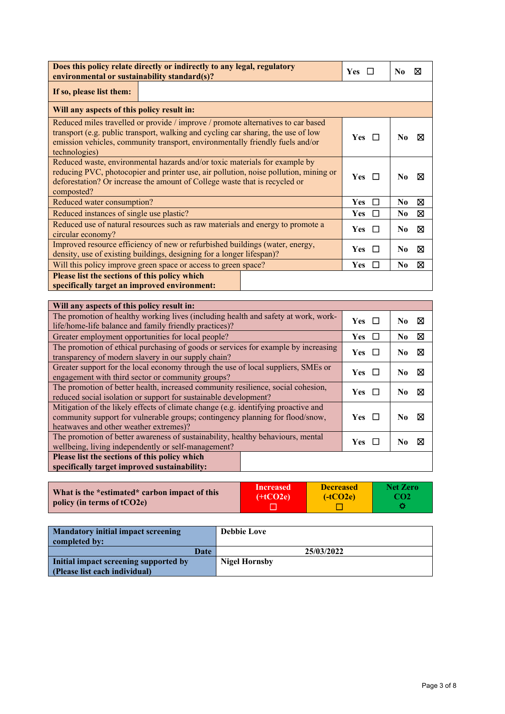| Does this policy relate directly or indirectly to any legal, regulatory<br>environmental or sustainability standard(s)?                                                                                                                                                               |  | N0<br>⋈             |
|---------------------------------------------------------------------------------------------------------------------------------------------------------------------------------------------------------------------------------------------------------------------------------------|--|---------------------|
| If so, please list them:                                                                                                                                                                                                                                                              |  |                     |
| Will any aspects of this policy result in:                                                                                                                                                                                                                                            |  |                     |
| Reduced miles travelled or provide / improve / promote alternatives to car based<br>transport (e.g. public transport, walking and cycling car sharing, the use of low<br><b>Yes</b><br>emission vehicles, community transport, environmentally friendly fuels and/or<br>technologies) |  |                     |
| Reduced waste, environmental hazards and/or toxic materials for example by<br>reducing PVC, photocopier and printer use, air pollution, noise pollution, mining or<br>$Yes \ \Box$<br>deforestation? Or increase the amount of College waste that is recycled or<br>composted?        |  | No.<br>м            |
| Reduced water consumption?<br><b>Yes</b><br>N <sub>0</sub><br>П                                                                                                                                                                                                                       |  | ⊠                   |
| Reduced instances of single use plastic?                                                                                                                                                                                                                                              |  | ⊠<br>N0             |
| Reduced use of natural resources such as raw materials and energy to promote a<br><b>Yes</b><br>circular economy?                                                                                                                                                                     |  | No.<br>⊠            |
| Improved resource efficiency of new or refurbished buildings (water, energy,<br>density, use of existing buildings, designing for a longer lifespan)?                                                                                                                                 |  | N <sub>0</sub><br>⋈ |
| Will this policy improve green space or access to green space?                                                                                                                                                                                                                        |  | N <sub>0</sub><br>⊠ |
| Please list the sections of this policy which<br>specifically target an improved environment:                                                                                                                                                                                         |  |                     |

| Will any aspects of this policy result in:                                         |                    |                     |
|------------------------------------------------------------------------------------|--------------------|---------------------|
| The promotion of healthy working lives (including health and safety at work, work- | $Yes \Box$         | ⊠<br>N <sub>0</sub> |
| life/home-life balance and family friendly practices)?                             |                    |                     |
| Greater employment opportunities for local people?                                 | <b>Yes</b><br>- 11 | ⊠<br>No             |
| The promotion of ethical purchasing of goods or services for example by increasing | $Yes \Box$         | ⊠<br>N0             |
| transparency of modern slavery in our supply chain?                                |                    |                     |
| Greater support for the local economy through the use of local suppliers, SMEs or  | $Yes \Box$         | ⊠<br>N0             |
| engagement with third sector or community groups?                                  |                    |                     |
| The promotion of better health, increased community resilience, social cohesion,   |                    | ⊠<br>No.            |
| reduced social isolation or support for sustainable development?                   | Yes $\Box$         |                     |
| Mitigation of the likely effects of climate change (e.g. identifying proactive and |                    |                     |
| community support for vulnerable groups; contingency planning for flood/snow,      |                    | ⊠<br>No.            |
| heatwaves and other weather extremes)?                                             |                    |                     |
| The promotion of better awareness of sustainability, healthy behaviours, mental    |                    |                     |
| <b>Yes</b><br>wellbeing, living independently or self-management?                  |                    | ⊠<br>No.            |
| Please list the sections of this policy which                                      |                    |                     |
| specifically target improved sustainability:                                       |                    |                     |

| What is the *estimated* carbon impact of this | <b>Increased</b> | <b>Decreased</b> | Net Zero        |
|-----------------------------------------------|------------------|------------------|-----------------|
| policy (in terms of $tCO2e$ )                 | $(+tCO2e)$       | $(-tCO2e)$       | CO <sub>2</sub> |
|                                               |                  |                  |                 |

| <b>Mandatory initial impact screening</b><br>completed by: | <b>Debbie Love</b>   |
|------------------------------------------------------------|----------------------|
| Date                                                       | 25/03/2022           |
| Initial impact screening supported by                      | <b>Nigel Hornsby</b> |
| (Please list each individual)                              |                      |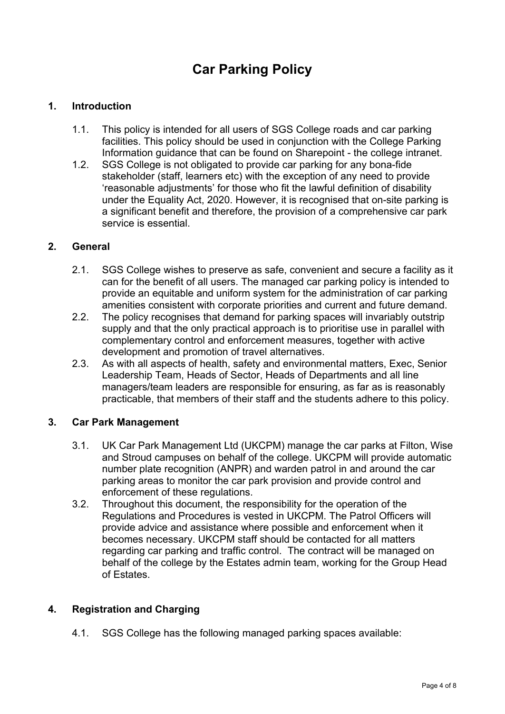## **Car Parking Policy**

## **1. Introduction**

- 1.1. This policy is intended for all users of SGS College roads and car parking facilities. This policy should be used in conjunction with the College Parking Information guidance that can be found on Sharepoint - the college intranet.
- 1.2. SGS College is not obligated to provide car parking for any bona-fide stakeholder (staff, learners etc) with the exception of any need to provide 'reasonable adjustments' for those who fit the lawful definition of disability under the Equality Act, 2020. However, it is recognised that on-site parking is a significant benefit and therefore, the provision of a comprehensive car park service is essential.

### **2. General**

- 2.1. SGS College wishes to preserve as safe, convenient and secure a facility as it can for the benefit of all users. The managed car parking policy is intended to provide an equitable and uniform system for the administration of car parking amenities consistent with corporate priorities and current and future demand.
- 2.2. The policy recognises that demand for parking spaces will invariably outstrip supply and that the only practical approach is to prioritise use in parallel with complementary control and enforcement measures, together with active development and promotion of travel alternatives.
- 2.3. As with all aspects of health, safety and environmental matters, Exec, Senior Leadership Team, Heads of Sector, Heads of Departments and all line managers/team leaders are responsible for ensuring, as far as is reasonably practicable, that members of their staff and the students adhere to this policy.

#### **3. Car Park Management**

- 3.1. UK Car Park Management Ltd (UKCPM) manage the car parks at Filton, Wise and Stroud campuses on behalf of the college. UKCPM will provide automatic number plate recognition (ANPR) and warden patrol in and around the car parking areas to monitor the car park provision and provide control and enforcement of these regulations.
- 3.2. Throughout this document, the responsibility for the operation of the Regulations and Procedures is vested in UKCPM. The Patrol Officers will provide advice and assistance where possible and enforcement when it becomes necessary. UKCPM staff should be contacted for all matters regarding car parking and traffic control. The contract will be managed on behalf of the college by the Estates admin team, working for the Group Head of Estates.

## **4. Registration and Charging**

4.1. SGS College has the following managed parking spaces available: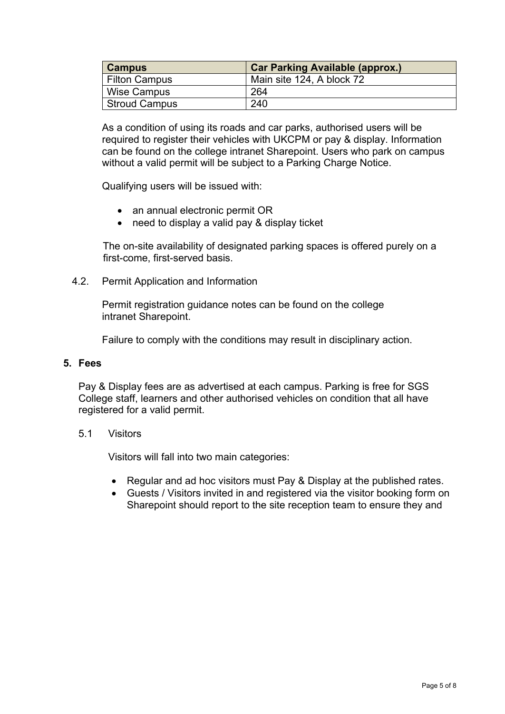| <b>Campus</b> | <b>Car Parking Available (approx.)</b> |
|---------------|----------------------------------------|
| Filton Campus | Main site 124, A block 72              |
| Wise Campus   | 264                                    |
| Stroud Campus | 240                                    |

As a condition of using its roads and car parks, authorised users will be required to register their vehicles with UKCPM or pay & display. Information can be found on the college intranet Sharepoint. Users who park on campus without a valid permit will be subject to a Parking Charge Notice.

Qualifying users will be issued with:

- an annual electronic permit OR
- need to display a valid pay & display ticket

 The on-site availability of designated parking spaces is offered purely on a first-come, first-served basis.

4.2. Permit Application and Information

Permit registration guidance notes can be found on the college intranet Sharepoint.

Failure to comply with the conditions may result in disciplinary action.

#### **5. Fees**

Pay & Display fees are as advertised at each campus. Parking is free for SGS College staff, learners and other authorised vehicles on condition that all have registered for a valid permit.

#### 5.1 Visitors

Visitors will fall into two main categories:

- Regular and ad hoc visitors must Pay & Display at the published rates.
- Guests / Visitors invited in and registered via the visitor booking form on Sharepoint should report to the site reception team to ensure they and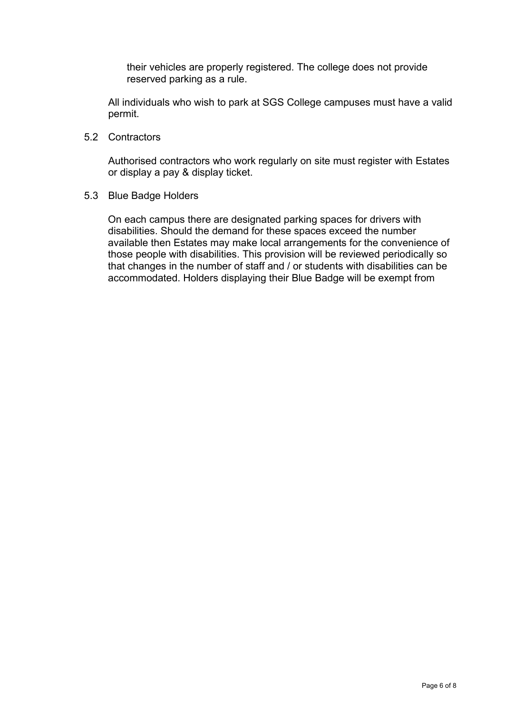their vehicles are properly registered. The college does not provide reserved parking as a rule.

All individuals who wish to park at SGS College campuses must have a valid permit.

5.2 Contractors

Authorised contractors who work regularly on site must register with Estates or display a pay & display ticket.

5.3 Blue Badge Holders

On each campus there are designated parking spaces for drivers with disabilities. Should the demand for these spaces exceed the number available then Estates may make local arrangements for the convenience of those people with disabilities. This provision will be reviewed periodically so that changes in the number of staff and / or students with disabilities can be accommodated. Holders displaying their Blue Badge will be exempt from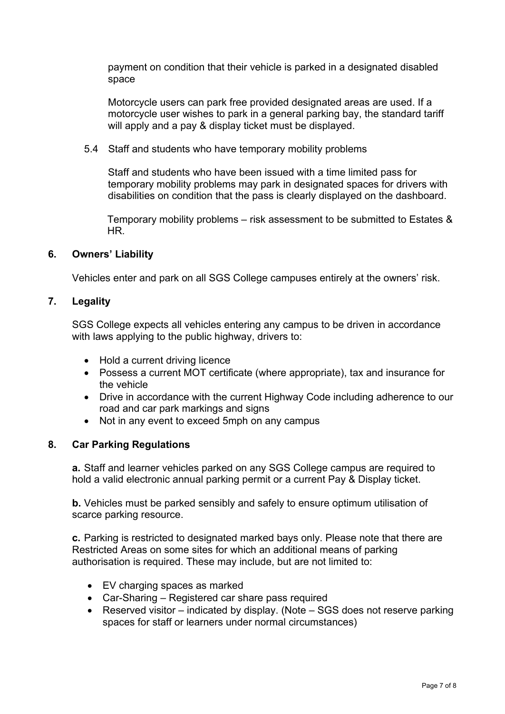payment on condition that their vehicle is parked in a designated disabled space

Motorcycle users can park free provided designated areas are used. If a motorcycle user wishes to park in a general parking bay, the standard tariff will apply and a pay & display ticket must be displayed.

5.4 Staff and students who have temporary mobility problems

Staff and students who have been issued with a time limited pass for temporary mobility problems may park in designated spaces for drivers with disabilities on condition that the pass is clearly displayed on the dashboard.

 Temporary mobility problems – risk assessment to be submitted to Estates & HR.

#### **6. Owners' Liability**

Vehicles enter and park on all SGS College campuses entirely at the owners' risk.

#### **7. Legality**

SGS College expects all vehicles entering any campus to be driven in accordance with laws applying to the public highway, drivers to:

- Hold a current driving licence
- Possess a current MOT certificate (where appropriate), tax and insurance for the vehicle
- Drive in accordance with the current Highway Code including adherence to our road and car park markings and signs
- Not in any event to exceed 5mph on any campus

#### **8. Car Parking Regulations**

**a.** Staff and learner vehicles parked on any SGS College campus are required to hold a valid electronic annual parking permit or a current Pay & Display ticket.

**b.** Vehicles must be parked sensibly and safely to ensure optimum utilisation of scarce parking resource.

**c.** Parking is restricted to designated marked bays only. Please note that there are Restricted Areas on some sites for which an additional means of parking authorisation is required. These may include, but are not limited to:

- EV charging spaces as marked
- Car-Sharing Registered car share pass required
- Reserved visitor indicated by display. (Note SGS does not reserve parking spaces for staff or learners under normal circumstances)